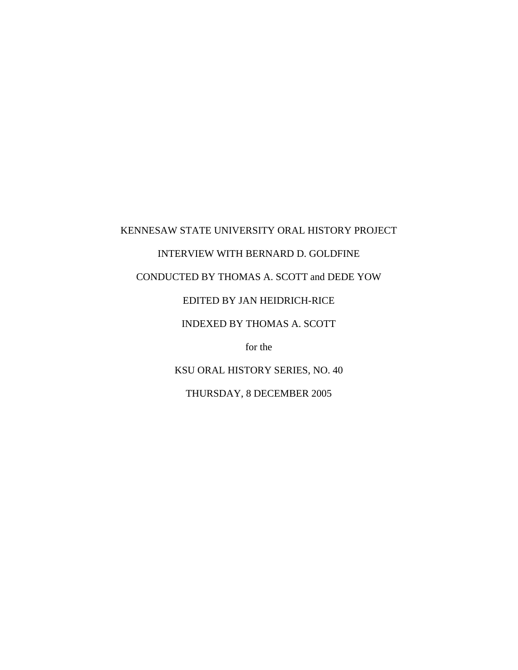## KENNESAW STATE UNIVERSITY ORAL HISTORY PROJECT INTERVIEW WITH BERNARD D. GOLDFINE CONDUCTED BY THOMAS A. SCOTT and DEDE YOW EDITED BY JAN HEIDRICH-RICE INDEXED BY THOMAS A. SCOTT for the KSU ORAL HISTORY SERIES, NO. 40

THURSDAY, 8 DECEMBER 2005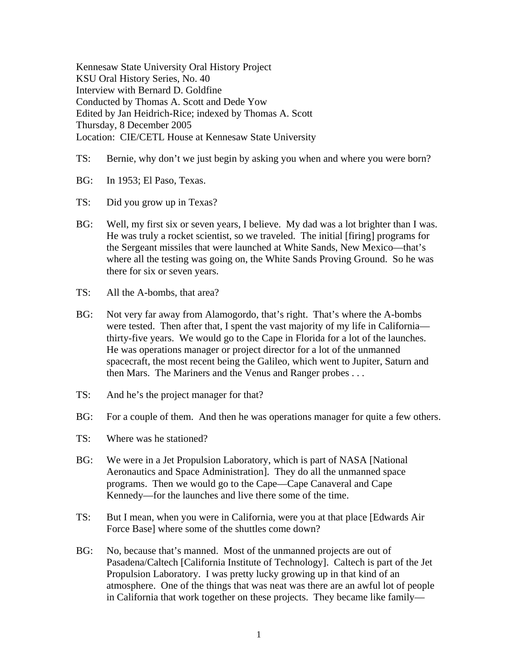Kennesaw State University Oral History Project KSU Oral History Series, No. 40 Interview with Bernard D. Goldfine Conducted by Thomas A. Scott and Dede Yow Edited by Jan Heidrich-Rice; indexed by Thomas A. Scott Thursday, 8 December 2005 Location: CIE/CETL House at Kennesaw State University

- TS: Bernie, why don't we just begin by asking you when and where you were born?
- BG: In 1953; El Paso, Texas.
- TS: Did you grow up in Texas?
- BG: Well, my first six or seven years, I believe. My dad was a lot brighter than I was. He was truly a rocket scientist, so we traveled. The initial [firing] programs for the Sergeant missiles that were launched at White Sands, New Mexico—that's where all the testing was going on, the White Sands Proving Ground. So he was there for six or seven years.
- TS: All the A-bombs, that area?
- BG: Not very far away from Alamogordo, that's right. That's where the A-bombs were tested. Then after that, I spent the vast majority of my life in California thirty-five years. We would go to the Cape in Florida for a lot of the launches. He was operations manager or project director for a lot of the unmanned spacecraft, the most recent being the Galileo, which went to Jupiter, Saturn and then Mars. The Mariners and the Venus and Ranger probes . . .
- TS: And he's the project manager for that?
- BG: For a couple of them. And then he was operations manager for quite a few others.
- TS: Where was he stationed?
- BG: We were in a Jet Propulsion Laboratory, which is part of NASA [National Aeronautics and Space Administration]. They do all the unmanned space programs. Then we would go to the Cape—Cape Canaveral and Cape Kennedy—for the launches and live there some of the time.
- TS: But I mean, when you were in California, were you at that place [Edwards Air Force Base] where some of the shuttles come down?
- BG: No, because that's manned. Most of the unmanned projects are out of Pasadena/Caltech [California Institute of Technology]. Caltech is part of the Jet Propulsion Laboratory. I was pretty lucky growing up in that kind of an atmosphere. One of the things that was neat was there are an awful lot of people in California that work together on these projects. They became like family—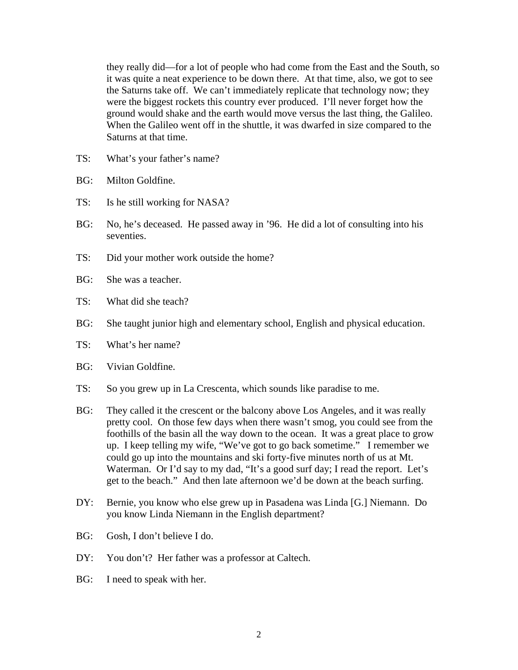they really did—for a lot of people who had come from the East and the South, so it was quite a neat experience to be down there. At that time, also, we got to see the Saturns take off. We can't immediately replicate that technology now; they were the biggest rockets this country ever produced. I'll never forget how the ground would shake and the earth would move versus the last thing, the Galileo. When the Galileo went off in the shuttle, it was dwarfed in size compared to the Saturns at that time.

- TS: What's your father's name?
- BG: Milton Goldfine.
- TS: Is he still working for NASA?
- BG: No, he's deceased. He passed away in '96. He did a lot of consulting into his seventies.
- TS: Did your mother work outside the home?
- BG: She was a teacher.
- TS: What did she teach?
- BG: She taught junior high and elementary school, English and physical education.
- TS: What's her name?
- BG: Vivian Goldfine.
- TS: So you grew up in La Crescenta, which sounds like paradise to me.
- BG: They called it the crescent or the balcony above Los Angeles, and it was really pretty cool. On those few days when there wasn't smog, you could see from the foothills of the basin all the way down to the ocean. It was a great place to grow up. I keep telling my wife, "We've got to go back sometime." I remember we could go up into the mountains and ski forty-five minutes north of us at Mt. Waterman. Or I'd say to my dad, "It's a good surf day; I read the report. Let's get to the beach." And then late afternoon we'd be down at the beach surfing.
- DY: Bernie, you know who else grew up in Pasadena was Linda [G.] Niemann. Do you know Linda Niemann in the English department?
- BG: Gosh, I don't believe I do.
- DY: You don't? Her father was a professor at Caltech.
- BG: I need to speak with her.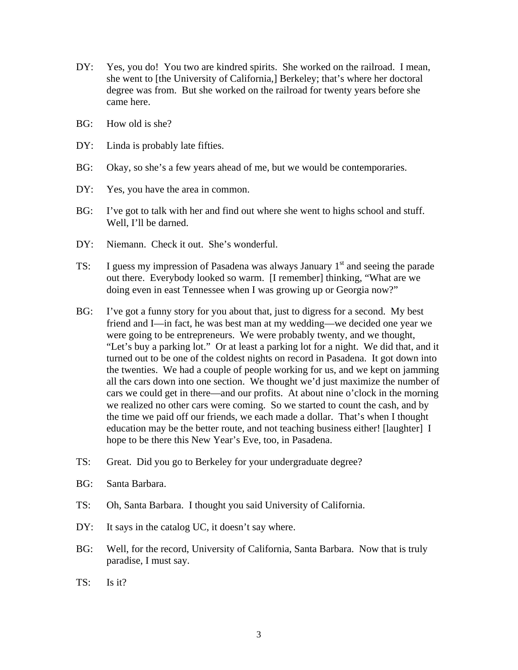- DY: Yes, you do! You two are kindred spirits. She worked on the railroad. I mean, she went to [the University of California,] Berkeley; that's where her doctoral degree was from. But she worked on the railroad for twenty years before she came here.
- BG: How old is she?
- DY: Linda is probably late fifties.
- BG: Okay, so she's a few years ahead of me, but we would be contemporaries.
- DY: Yes, you have the area in common.
- BG: I've got to talk with her and find out where she went to highs school and stuff. Well, I'll be darned.
- DY: Niemann. Check it out. She's wonderful.
- TS: I guess my impression of Pasadena was always January 1<sup>st</sup> and seeing the parade out there. Everybody looked so warm. [I remember] thinking, "What are we doing even in east Tennessee when I was growing up or Georgia now?"
- BG: I've got a funny story for you about that, just to digress for a second. My best friend and I—in fact, he was best man at my wedding—we decided one year we were going to be entrepreneurs. We were probably twenty, and we thought, "Let's buy a parking lot." Or at least a parking lot for a night. We did that, and it turned out to be one of the coldest nights on record in Pasadena. It got down into the twenties. We had a couple of people working for us, and we kept on jamming all the cars down into one section. We thought we'd just maximize the number of cars we could get in there—and our profits. At about nine o'clock in the morning we realized no other cars were coming. So we started to count the cash, and by the time we paid off our friends, we each made a dollar. That's when I thought education may be the better route, and not teaching business either! [laughter] I hope to be there this New Year's Eve, too, in Pasadena.
- TS: Great. Did you go to Berkeley for your undergraduate degree?
- BG: Santa Barbara.
- TS: Oh, Santa Barbara. I thought you said University of California.
- DY: It says in the catalog UC, it doesn't say where.
- BG: Well, for the record, University of California, Santa Barbara. Now that is truly paradise, I must say.
- TS: Is it?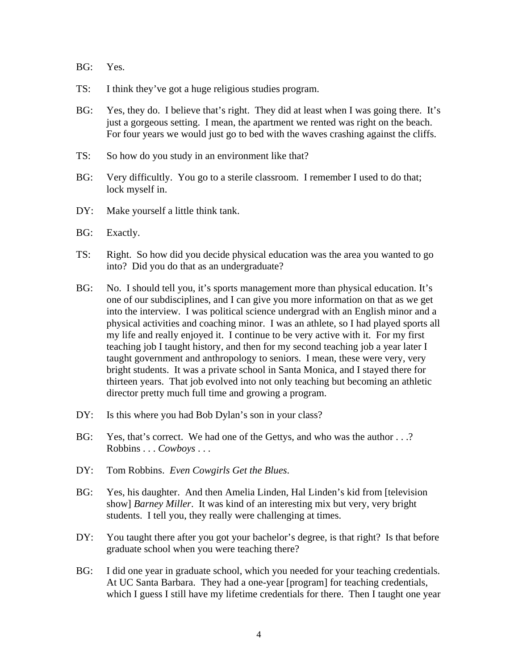- BG: Yes.
- TS: I think they've got a huge religious studies program.
- BG: Yes, they do. I believe that's right. They did at least when I was going there. It's just a gorgeous setting. I mean, the apartment we rented was right on the beach. For four years we would just go to bed with the waves crashing against the cliffs.
- TS: So how do you study in an environment like that?
- BG: Very difficultly. You go to a sterile classroom. I remember I used to do that; lock myself in.
- DY: Make yourself a little think tank.
- BG: Exactly.
- TS: Right. So how did you decide physical education was the area you wanted to go into? Did you do that as an undergraduate?
- BG: No. I should tell you, it's sports management more than physical education. It's one of our subdisciplines, and I can give you more information on that as we get into the interview. I was political science undergrad with an English minor and a physical activities and coaching minor. I was an athlete, so I had played sports all my life and really enjoyed it. I continue to be very active with it. For my first teaching job I taught history, and then for my second teaching job a year later I taught government and anthropology to seniors. I mean, these were very, very bright students. It was a private school in Santa Monica, and I stayed there for thirteen years. That job evolved into not only teaching but becoming an athletic director pretty much full time and growing a program.
- DY: Is this where you had Bob Dylan's son in your class?
- BG: Yes, that's correct. We had one of the Gettys, and who was the author . . .? Robbins . . . *Cowboys* . . .
- DY: Tom Robbins. *Even Cowgirls Get the Blues*.
- BG: Yes, his daughter. And then Amelia Linden, Hal Linden's kid from [television show] *Barney Miller*. It was kind of an interesting mix but very, very bright students. I tell you, they really were challenging at times.
- DY: You taught there after you got your bachelor's degree, is that right? Is that before graduate school when you were teaching there?
- BG: I did one year in graduate school, which you needed for your teaching credentials. At UC Santa Barbara. They had a one-year [program] for teaching credentials, which I guess I still have my lifetime credentials for there. Then I taught one year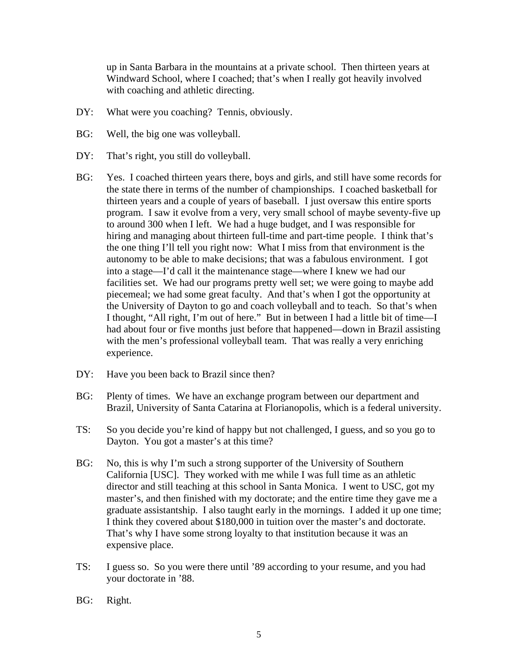up in Santa Barbara in the mountains at a private school. Then thirteen years at Windward School, where I coached; that's when I really got heavily involved with coaching and athletic directing.

- DY: What were you coaching? Tennis, obviously.
- BG: Well, the big one was volleyball.
- DY: That's right, you still do volleyball.
- BG: Yes. I coached thirteen years there, boys and girls, and still have some records for the state there in terms of the number of championships. I coached basketball for thirteen years and a couple of years of baseball. I just oversaw this entire sports program. I saw it evolve from a very, very small school of maybe seventy-five up to around 300 when I left. We had a huge budget, and I was responsible for hiring and managing about thirteen full-time and part-time people. I think that's the one thing I'll tell you right now: What I miss from that environment is the autonomy to be able to make decisions; that was a fabulous environment. I got into a stage—I'd call it the maintenance stage—where I knew we had our facilities set. We had our programs pretty well set; we were going to maybe add piecemeal; we had some great faculty. And that's when I got the opportunity at the University of Dayton to go and coach volleyball and to teach. So that's when I thought, "All right, I'm out of here." But in between I had a little bit of time—I had about four or five months just before that happened—down in Brazil assisting with the men's professional volleyball team. That was really a very enriching experience.
- DY: Have you been back to Brazil since then?
- BG: Plenty of times. We have an exchange program between our department and Brazil, University of Santa Catarina at Florianopolis, which is a federal university.
- TS: So you decide you're kind of happy but not challenged, I guess, and so you go to Dayton. You got a master's at this time?
- BG: No, this is why I'm such a strong supporter of the University of Southern California [USC]. They worked with me while I was full time as an athletic director and still teaching at this school in Santa Monica. I went to USC, got my master's, and then finished with my doctorate; and the entire time they gave me a graduate assistantship. I also taught early in the mornings. I added it up one time; I think they covered about \$180,000 in tuition over the master's and doctorate. That's why I have some strong loyalty to that institution because it was an expensive place.
- TS: I guess so. So you were there until '89 according to your resume, and you had your doctorate in '88.
- BG: Right.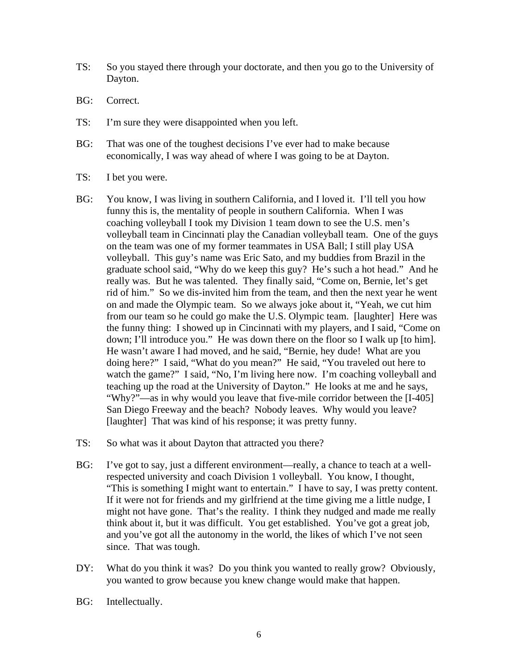- TS: So you stayed there through your doctorate, and then you go to the University of Dayton.
- BG: Correct.
- TS: I'm sure they were disappointed when you left.
- BG: That was one of the toughest decisions I've ever had to make because economically, I was way ahead of where I was going to be at Dayton.
- TS: I bet you were.
- BG: You know, I was living in southern California, and I loved it. I'll tell you how funny this is, the mentality of people in southern California. When I was coaching volleyball I took my Division 1 team down to see the U.S. men's volleyball team in Cincinnati play the Canadian volleyball team. One of the guys on the team was one of my former teammates in USA Ball; I still play USA volleyball. This guy's name was Eric Sato, and my buddies from Brazil in the graduate school said, "Why do we keep this guy? He's such a hot head." And he really was. But he was talented. They finally said, "Come on, Bernie, let's get rid of him." So we dis-invited him from the team, and then the next year he went on and made the Olympic team. So we always joke about it, "Yeah, we cut him from our team so he could go make the U.S. Olympic team. [laughter] Here was the funny thing: I showed up in Cincinnati with my players, and I said, "Come on down; I'll introduce you." He was down there on the floor so I walk up [to him]. He wasn't aware I had moved, and he said, "Bernie, hey dude! What are you doing here?" I said, "What do you mean?" He said, "You traveled out here to watch the game?" I said, "No, I'm living here now. I'm coaching volleyball and teaching up the road at the University of Dayton." He looks at me and he says, "Why?"—as in why would you leave that five-mile corridor between the [I-405] San Diego Freeway and the beach? Nobody leaves. Why would you leave? [laughter] That was kind of his response; it was pretty funny.
- TS: So what was it about Dayton that attracted you there?
- BG: I've got to say, just a different environment—really, a chance to teach at a wellrespected university and coach Division 1 volleyball. You know, I thought, "This is something I might want to entertain." I have to say, I was pretty content. If it were not for friends and my girlfriend at the time giving me a little nudge, I might not have gone. That's the reality. I think they nudged and made me really think about it, but it was difficult. You get established. You've got a great job, and you've got all the autonomy in the world, the likes of which I've not seen since. That was tough.
- DY: What do you think it was? Do you think you wanted to really grow? Obviously, you wanted to grow because you knew change would make that happen.
- BG: Intellectually.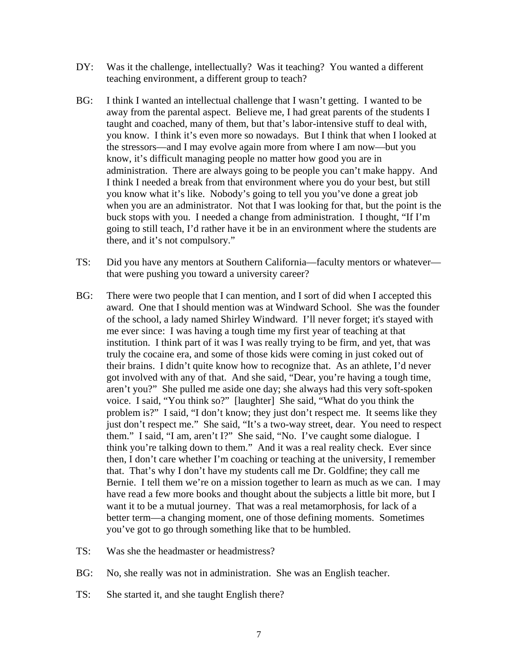- DY: Was it the challenge, intellectually? Was it teaching? You wanted a different teaching environment, a different group to teach?
- BG: I think I wanted an intellectual challenge that I wasn't getting. I wanted to be away from the parental aspect. Believe me, I had great parents of the students I taught and coached, many of them, but that's labor-intensive stuff to deal with, you know. I think it's even more so nowadays. But I think that when I looked at the stressors—and I may evolve again more from where I am now—but you know, it's difficult managing people no matter how good you are in administration. There are always going to be people you can't make happy. And I think I needed a break from that environment where you do your best, but still you know what it's like. Nobody's going to tell you you've done a great job when you are an administrator. Not that I was looking for that, but the point is the buck stops with you. I needed a change from administration. I thought, "If I'm going to still teach, I'd rather have it be in an environment where the students are there, and it's not compulsory."
- TS: Did you have any mentors at Southern California—faculty mentors or whatever that were pushing you toward a university career?
- BG: There were two people that I can mention, and I sort of did when I accepted this award. One that I should mention was at Windward School. She was the founder of the school, a lady named Shirley Windward. I'll never forget; it's stayed with me ever since: I was having a tough time my first year of teaching at that institution. I think part of it was I was really trying to be firm, and yet, that was truly the cocaine era, and some of those kids were coming in just coked out of their brains. I didn't quite know how to recognize that. As an athlete, I'd never got involved with any of that. And she said, "Dear, you're having a tough time, aren't you?" She pulled me aside one day; she always had this very soft-spoken voice. I said, "You think so?" [laughter] She said, "What do you think the problem is?" I said, "I don't know; they just don't respect me. It seems like they just don't respect me." She said, "It's a two-way street, dear. You need to respect them." I said, "I am, aren't I?" She said, "No. I've caught some dialogue. I think you're talking down to them." And it was a real reality check. Ever since then, I don't care whether I'm coaching or teaching at the university, I remember that. That's why I don't have my students call me Dr. Goldfine; they call me Bernie. I tell them we're on a mission together to learn as much as we can. I may have read a few more books and thought about the subjects a little bit more, but I want it to be a mutual journey. That was a real metamorphosis, for lack of a better term—a changing moment, one of those defining moments. Sometimes you've got to go through something like that to be humbled.
- TS: Was she the headmaster or headmistress?
- BG: No, she really was not in administration. She was an English teacher.
- TS: She started it, and she taught English there?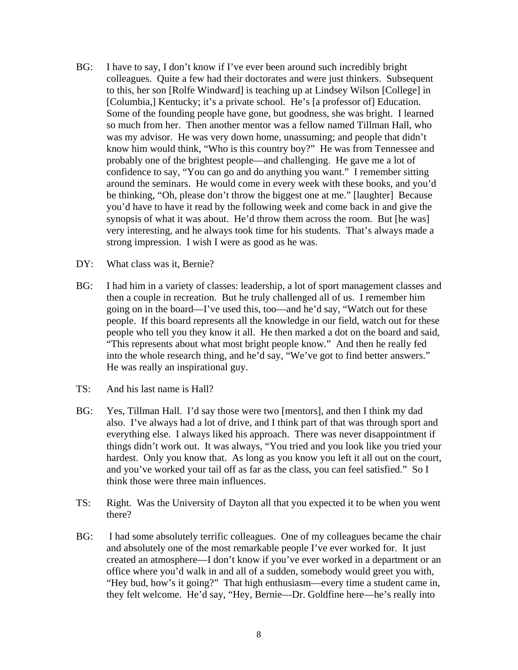- BG: I have to say, I don't know if I've ever been around such incredibly bright colleagues. Quite a few had their doctorates and were just thinkers. Subsequent to this, her son [Rolfe Windward] is teaching up at Lindsey Wilson [College] in [Columbia,] Kentucky; it's a private school. He's [a professor of] Education. Some of the founding people have gone, but goodness, she was bright. I learned so much from her. Then another mentor was a fellow named Tillman Hall, who was my advisor. He was very down home, unassuming; and people that didn't know him would think, "Who is this country boy?" He was from Tennessee and probably one of the brightest people—and challenging. He gave me a lot of confidence to say, "You can go and do anything you want." I remember sitting around the seminars. He would come in every week with these books, and you'd be thinking, "Oh, please don't throw the biggest one at me." [laughter] Because you'd have to have it read by the following week and come back in and give the synopsis of what it was about. He'd throw them across the room. But [he was] very interesting, and he always took time for his students. That's always made a strong impression. I wish I were as good as he was.
- DY: What class was it, Bernie?
- BG: I had him in a variety of classes: leadership, a lot of sport management classes and then a couple in recreation. But he truly challenged all of us. I remember him going on in the board—I've used this, too—and he'd say, "Watch out for these people. If this board represents all the knowledge in our field, watch out for these people who tell you they know it all. He then marked a dot on the board and said, "This represents about what most bright people know." And then he really fed into the whole research thing, and he'd say, "We've got to find better answers." He was really an inspirational guy.
- TS: And his last name is Hall?
- BG: Yes, Tillman Hall. I'd say those were two [mentors], and then I think my dad also. I've always had a lot of drive, and I think part of that was through sport and everything else. I always liked his approach. There was never disappointment if things didn't work out. It was always, "You tried and you look like you tried your hardest. Only you know that. As long as you know you left it all out on the court, and you've worked your tail off as far as the class, you can feel satisfied." So I think those were three main influences.
- TS: Right. Was the University of Dayton all that you expected it to be when you went there?
- BG: I had some absolutely terrific colleagues. One of my colleagues became the chair and absolutely one of the most remarkable people I've ever worked for. It just created an atmosphere—I don't know if you've ever worked in a department or an office where you'd walk in and all of a sudden, somebody would greet you with, "Hey bud, how's it going?" That high enthusiasm—every time a student came in, they felt welcome. He'd say, "Hey, Bernie—Dr. Goldfine here—he's really into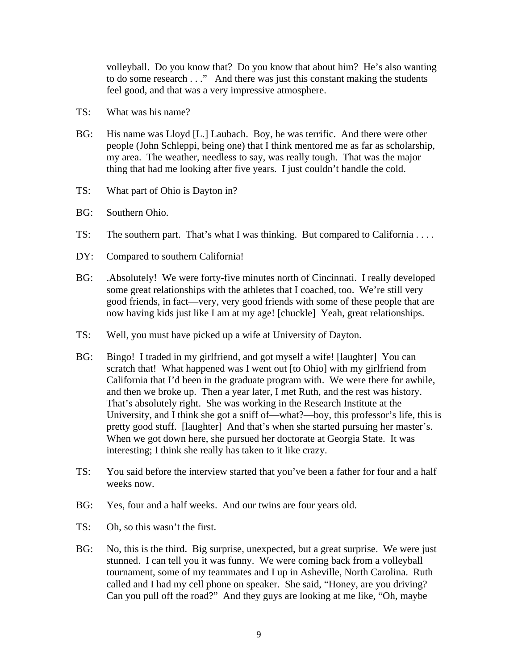volleyball. Do you know that? Do you know that about him? He's also wanting to do some research . . ." And there was just this constant making the students feel good, and that was a very impressive atmosphere.

- TS: What was his name?
- BG: His name was Lloyd [L.] Laubach. Boy, he was terrific. And there were other people (John Schleppi, being one) that I think mentored me as far as scholarship, my area. The weather, needless to say, was really tough. That was the major thing that had me looking after five years. I just couldn't handle the cold.
- TS: What part of Ohio is Dayton in?
- BG: Southern Ohio.
- TS: The southern part. That's what I was thinking. But compared to California . . . .
- DY: Compared to southern California!
- BG: .Absolutely! We were forty-five minutes north of Cincinnati. I really developed some great relationships with the athletes that I coached, too. We're still very good friends, in fact—very, very good friends with some of these people that are now having kids just like I am at my age! [chuckle] Yeah, great relationships.
- TS: Well, you must have picked up a wife at University of Dayton.
- BG: Bingo! I traded in my girlfriend, and got myself a wife! [laughter] You can scratch that! What happened was I went out [to Ohio] with my girlfriend from California that I'd been in the graduate program with. We were there for awhile, and then we broke up. Then a year later, I met Ruth, and the rest was history. That's absolutely right. She was working in the Research Institute at the University, and I think she got a sniff of—what?—boy, this professor's life, this is pretty good stuff. [laughter] And that's when she started pursuing her master's. When we got down here, she pursued her doctorate at Georgia State. It was interesting; I think she really has taken to it like crazy.
- TS: You said before the interview started that you've been a father for four and a half weeks now.
- BG: Yes, four and a half weeks. And our twins are four years old.
- TS: Oh, so this wasn't the first.
- BG: No, this is the third. Big surprise, unexpected, but a great surprise. We were just stunned. I can tell you it was funny. We were coming back from a volleyball tournament, some of my teammates and I up in Asheville, North Carolina. Ruth called and I had my cell phone on speaker. She said, "Honey, are you driving? Can you pull off the road?" And they guys are looking at me like, "Oh, maybe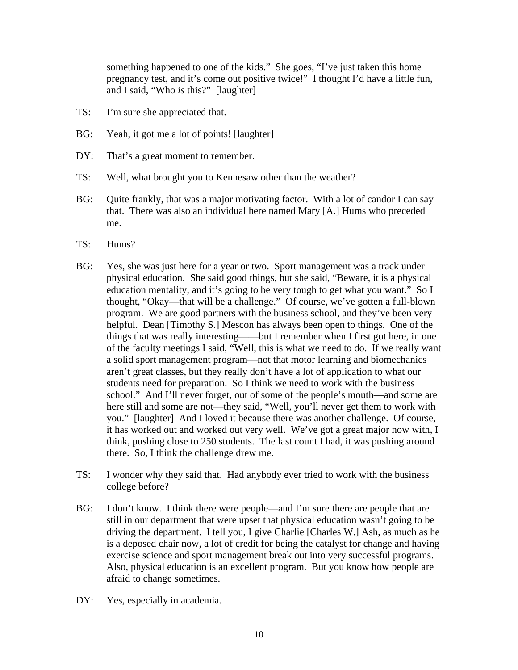something happened to one of the kids." She goes, "I've just taken this home pregnancy test, and it's come out positive twice!" I thought I'd have a little fun, and I said, "Who *is* this?" [laughter]

- TS: I'm sure she appreciated that.
- BG: Yeah, it got me a lot of points! [laughter]
- DY: That's a great moment to remember.
- TS: Well, what brought you to Kennesaw other than the weather?
- BG: Quite frankly, that was a major motivating factor. With a lot of candor I can say that. There was also an individual here named Mary [A.] Hums who preceded me.
- TS: Hums?
- BG: Yes, she was just here for a year or two. Sport management was a track under physical education. She said good things, but she said, "Beware, it is a physical education mentality, and it's going to be very tough to get what you want." So I thought, "Okay—that will be a challenge." Of course, we've gotten a full-blown program. We are good partners with the business school, and they've been very helpful. Dean [Timothy S.] Mescon has always been open to things. One of the things that was really interesting——but I remember when I first got here, in one of the faculty meetings I said, "Well, this is what we need to do. If we really want a solid sport management program—not that motor learning and biomechanics aren't great classes, but they really don't have a lot of application to what our students need for preparation. So I think we need to work with the business school." And I'll never forget, out of some of the people's mouth—and some are here still and some are not—they said, "Well, you'll never get them to work with you." [laughter] And I loved it because there was another challenge. Of course, it has worked out and worked out very well. We've got a great major now with, I think, pushing close to 250 students. The last count I had, it was pushing around there. So, I think the challenge drew me.
- TS: I wonder why they said that. Had anybody ever tried to work with the business college before?
- BG: I don't know. I think there were people—and I'm sure there are people that are still in our department that were upset that physical education wasn't going to be driving the department. I tell you, I give Charlie [Charles W.] Ash, as much as he is a deposed chair now, a lot of credit for being the catalyst for change and having exercise science and sport management break out into very successful programs. Also, physical education is an excellent program. But you know how people are afraid to change sometimes.
- DY: Yes, especially in academia.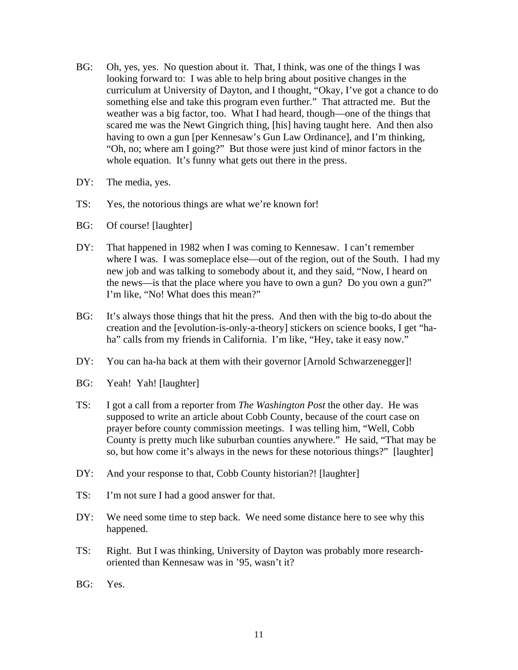- BG: Oh, yes, yes. No question about it. That, I think, was one of the things I was looking forward to: I was able to help bring about positive changes in the curriculum at University of Dayton, and I thought, "Okay, I've got a chance to do something else and take this program even further." That attracted me. But the weather was a big factor, too. What I had heard, though—one of the things that scared me was the Newt Gingrich thing, [his] having taught here. And then also having to own a gun [per Kennesaw's Gun Law Ordinance], and I'm thinking, "Oh, no; where am I going?" But those were just kind of minor factors in the whole equation. It's funny what gets out there in the press.
- DY: The media, yes.
- TS: Yes, the notorious things are what we're known for!
- BG: Of course! [laughter]
- DY: That happened in 1982 when I was coming to Kennesaw. I can't remember where I was. I was someplace else—out of the region, out of the South. I had my new job and was talking to somebody about it, and they said, "Now, I heard on the news—is that the place where you have to own a gun? Do you own a gun?" I'm like, "No! What does this mean?"
- BG: It's always those things that hit the press. And then with the big to-do about the creation and the [evolution-is-only-a-theory] stickers on science books, I get "haha" calls from my friends in California. I'm like, "Hey, take it easy now."
- DY: You can ha-ha back at them with their governor [Arnold Schwarzenegger]!
- BG: Yeah! Yah! [laughter]
- TS: I got a call from a reporter from *The Washington Post* the other day. He was supposed to write an article about Cobb County, because of the court case on prayer before county commission meetings. I was telling him, "Well, Cobb County is pretty much like suburban counties anywhere." He said, "That may be so, but how come it's always in the news for these notorious things?" [laughter]
- DY: And your response to that, Cobb County historian?! [laughter]
- TS: I'm not sure I had a good answer for that.
- DY: We need some time to step back. We need some distance here to see why this happened.
- TS: Right. But I was thinking, University of Dayton was probably more researchoriented than Kennesaw was in '95, wasn't it?
- BG: Yes.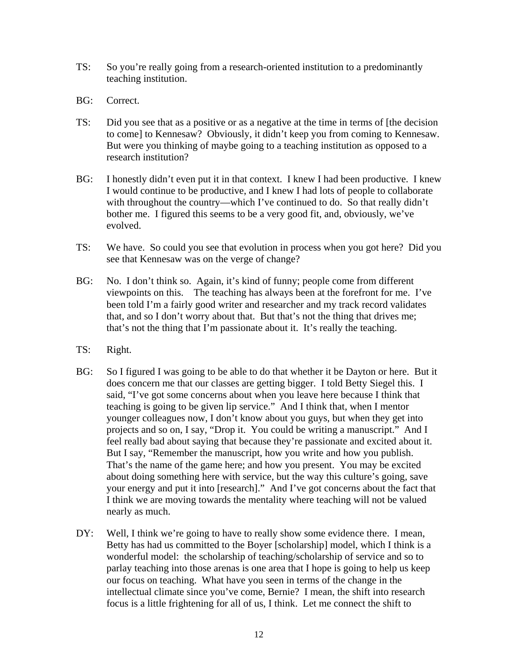- TS: So you're really going from a research-oriented institution to a predominantly teaching institution.
- BG: Correct.
- TS: Did you see that as a positive or as a negative at the time in terms of [the decision to come] to Kennesaw? Obviously, it didn't keep you from coming to Kennesaw. But were you thinking of maybe going to a teaching institution as opposed to a research institution?
- BG: I honestly didn't even put it in that context. I knew I had been productive. I knew I would continue to be productive, and I knew I had lots of people to collaborate with throughout the country—which I've continued to do. So that really didn't bother me. I figured this seems to be a very good fit, and, obviously, we've evolved.
- TS: We have. So could you see that evolution in process when you got here? Did you see that Kennesaw was on the verge of change?
- BG: No. I don't think so. Again, it's kind of funny; people come from different viewpoints on this. The teaching has always been at the forefront for me. I've been told I'm a fairly good writer and researcher and my track record validates that, and so I don't worry about that. But that's not the thing that drives me; that's not the thing that I'm passionate about it. It's really the teaching.
- TS: Right.
- BG: So I figured I was going to be able to do that whether it be Dayton or here. But it does concern me that our classes are getting bigger. I told Betty Siegel this. I said, "I've got some concerns about when you leave here because I think that teaching is going to be given lip service." And I think that, when I mentor younger colleagues now, I don't know about you guys, but when they get into projects and so on, I say, "Drop it. You could be writing a manuscript." And I feel really bad about saying that because they're passionate and excited about it. But I say, "Remember the manuscript, how you write and how you publish. That's the name of the game here; and how you present. You may be excited about doing something here with service, but the way this culture's going, save your energy and put it into [research]." And I've got concerns about the fact that I think we are moving towards the mentality where teaching will not be valued nearly as much.
- DY: Well, I think we're going to have to really show some evidence there. I mean, Betty has had us committed to the Boyer [scholarship] model, which I think is a wonderful model: the scholarship of teaching/scholarship of service and so to parlay teaching into those arenas is one area that I hope is going to help us keep our focus on teaching. What have you seen in terms of the change in the intellectual climate since you've come, Bernie? I mean, the shift into research focus is a little frightening for all of us, I think. Let me connect the shift to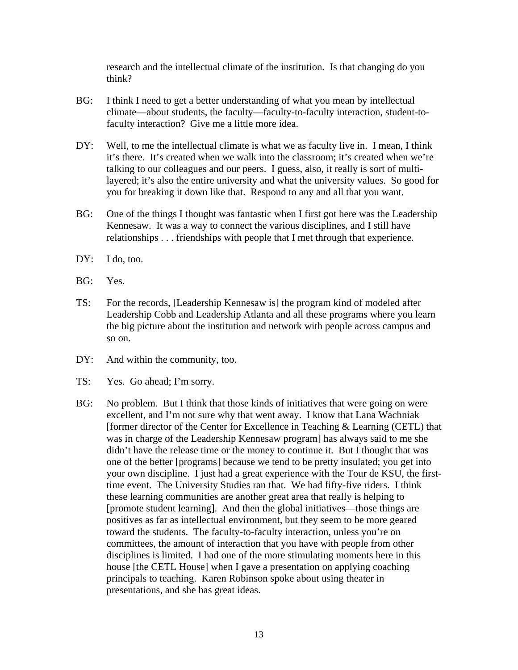research and the intellectual climate of the institution. Is that changing do you think?

- BG: I think I need to get a better understanding of what you mean by intellectual climate—about students, the faculty—faculty-to-faculty interaction, student-tofaculty interaction? Give me a little more idea.
- DY: Well, to me the intellectual climate is what we as faculty live in. I mean, I think it's there. It's created when we walk into the classroom; it's created when we're talking to our colleagues and our peers. I guess, also, it really is sort of multilayered; it's also the entire university and what the university values. So good for you for breaking it down like that. Respond to any and all that you want.
- BG: One of the things I thought was fantastic when I first got here was the Leadership Kennesaw. It was a way to connect the various disciplines, and I still have relationships . . . friendships with people that I met through that experience.
- DY: I do, too.
- BG: Yes.
- TS: For the records, [Leadership Kennesaw is] the program kind of modeled after Leadership Cobb and Leadership Atlanta and all these programs where you learn the big picture about the institution and network with people across campus and so on.
- DY: And within the community, too.
- TS: Yes. Go ahead; I'm sorry.
- BG: No problem. But I think that those kinds of initiatives that were going on were excellent, and I'm not sure why that went away. I know that Lana Wachniak [former director of the Center for Excellence in Teaching & Learning (CETL) that was in charge of the Leadership Kennesaw program] has always said to me she didn't have the release time or the money to continue it. But I thought that was one of the better [programs] because we tend to be pretty insulated; you get into your own discipline. I just had a great experience with the Tour de KSU, the firsttime event. The University Studies ran that. We had fifty-five riders. I think these learning communities are another great area that really is helping to [promote student learning]. And then the global initiatives—those things are positives as far as intellectual environment, but they seem to be more geared toward the students. The faculty-to-faculty interaction, unless you're on committees, the amount of interaction that you have with people from other disciplines is limited. I had one of the more stimulating moments here in this house [the CETL House] when I gave a presentation on applying coaching principals to teaching. Karen Robinson spoke about using theater in presentations, and she has great ideas.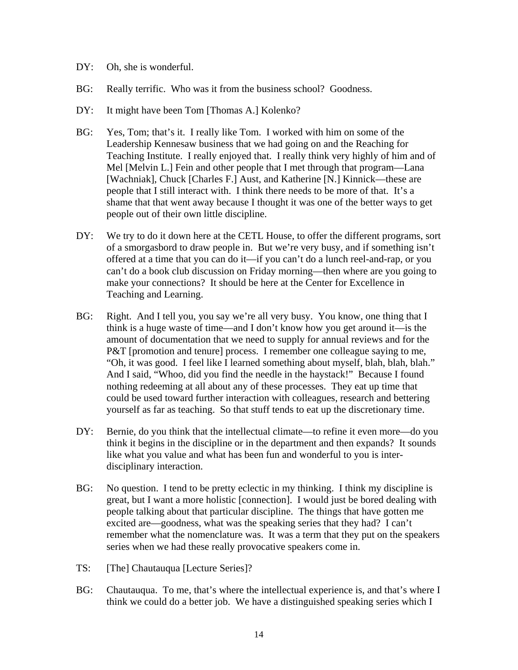- DY: Oh, she is wonderful.
- BG: Really terrific. Who was it from the business school? Goodness.
- DY: It might have been Tom [Thomas A.] Kolenko?
- BG: Yes, Tom; that's it. I really like Tom. I worked with him on some of the Leadership Kennesaw business that we had going on and the Reaching for Teaching Institute. I really enjoyed that. I really think very highly of him and of Mel [Melvin L.] Fein and other people that I met through that program—Lana [Wachniak], Chuck [Charles F.] Aust, and Katherine [N.] Kinnick—these are people that I still interact with. I think there needs to be more of that. It's a shame that that went away because I thought it was one of the better ways to get people out of their own little discipline.
- DY: We try to do it down here at the CETL House, to offer the different programs, sort of a smorgasbord to draw people in. But we're very busy, and if something isn't offered at a time that you can do it—if you can't do a lunch reel-and-rap, or you can't do a book club discussion on Friday morning—then where are you going to make your connections? It should be here at the Center for Excellence in Teaching and Learning.
- BG: Right. And I tell you, you say we're all very busy. You know, one thing that I think is a huge waste of time—and I don't know how you get around it—is the amount of documentation that we need to supply for annual reviews and for the P&T [promotion and tenure] process. I remember one colleague saying to me, "Oh, it was good. I feel like I learned something about myself, blah, blah, blah." And I said, "Whoo, did you find the needle in the haystack!" Because I found nothing redeeming at all about any of these processes. They eat up time that could be used toward further interaction with colleagues, research and bettering yourself as far as teaching. So that stuff tends to eat up the discretionary time.
- DY: Bernie, do you think that the intellectual climate—to refine it even more—do you think it begins in the discipline or in the department and then expands? It sounds like what you value and what has been fun and wonderful to you is interdisciplinary interaction.
- BG: No question. I tend to be pretty eclectic in my thinking. I think my discipline is great, but I want a more holistic [connection]. I would just be bored dealing with people talking about that particular discipline. The things that have gotten me excited are—goodness, what was the speaking series that they had? I can't remember what the nomenclature was. It was a term that they put on the speakers series when we had these really provocative speakers come in.
- TS: [The] Chautauqua [Lecture Series]?
- BG: Chautauqua. To me, that's where the intellectual experience is, and that's where I think we could do a better job. We have a distinguished speaking series which I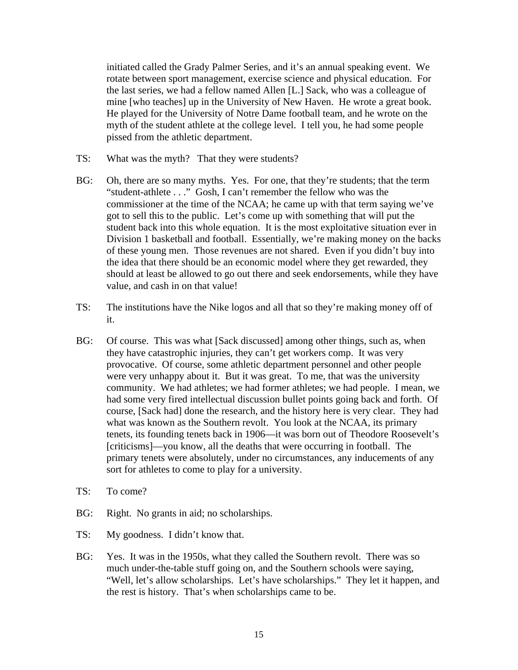initiated called the Grady Palmer Series, and it's an annual speaking event. We rotate between sport management, exercise science and physical education. For the last series, we had a fellow named Allen [L.] Sack, who was a colleague of mine [who teaches] up in the University of New Haven. He wrote a great book. He played for the University of Notre Dame football team, and he wrote on the myth of the student athlete at the college level. I tell you, he had some people pissed from the athletic department.

- TS: What was the myth? That they were students?
- BG: Oh, there are so many myths. Yes. For one, that they're students; that the term "student-athlete . . ." Gosh, I can't remember the fellow who was the commissioner at the time of the NCAA; he came up with that term saying we've got to sell this to the public. Let's come up with something that will put the student back into this whole equation. It is the most exploitative situation ever in Division 1 basketball and football. Essentially, we're making money on the backs of these young men. Those revenues are not shared. Even if you didn't buy into the idea that there should be an economic model where they get rewarded, they should at least be allowed to go out there and seek endorsements, while they have value, and cash in on that value!
- TS: The institutions have the Nike logos and all that so they're making money off of it.
- BG: Of course. This was what [Sack discussed] among other things, such as, when they have catastrophic injuries, they can't get workers comp. It was very provocative. Of course, some athletic department personnel and other people were very unhappy about it. But it was great. To me, that was the university community. We had athletes; we had former athletes; we had people. I mean, we had some very fired intellectual discussion bullet points going back and forth. Of course, [Sack had] done the research, and the history here is very clear. They had what was known as the Southern revolt. You look at the NCAA, its primary tenets, its founding tenets back in 1906—it was born out of Theodore Roosevelt's [criticisms]—you know, all the deaths that were occurring in football. The primary tenets were absolutely, under no circumstances, any inducements of any sort for athletes to come to play for a university.
- TS: To come?
- BG: Right. No grants in aid; no scholarships.
- TS: My goodness. I didn't know that.
- BG: Yes. It was in the 1950s, what they called the Southern revolt. There was so much under-the-table stuff going on, and the Southern schools were saying, "Well, let's allow scholarships. Let's have scholarships." They let it happen, and the rest is history. That's when scholarships came to be.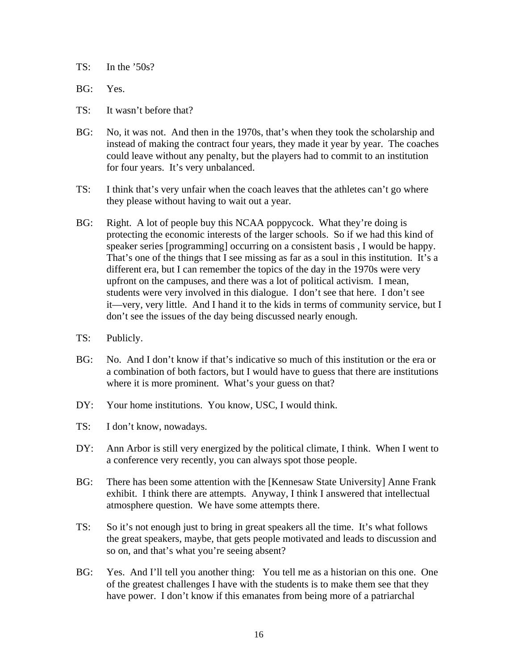$TS:$  In the '50s?

BG: Yes.

- TS: It wasn't before that?
- BG: No, it was not. And then in the 1970s, that's when they took the scholarship and instead of making the contract four years, they made it year by year. The coaches could leave without any penalty, but the players had to commit to an institution for four years. It's very unbalanced.
- TS: I think that's very unfair when the coach leaves that the athletes can't go where they please without having to wait out a year.
- BG: Right. A lot of people buy this NCAA poppycock. What they're doing is protecting the economic interests of the larger schools. So if we had this kind of speaker series [programming] occurring on a consistent basis , I would be happy. That's one of the things that I see missing as far as a soul in this institution. It's a different era, but I can remember the topics of the day in the 1970s were very upfront on the campuses, and there was a lot of political activism. I mean, students were very involved in this dialogue. I don't see that here. I don't see it—very, very little. And I hand it to the kids in terms of community service, but I don't see the issues of the day being discussed nearly enough.
- TS: Publicly.
- BG: No. And I don't know if that's indicative so much of this institution or the era or a combination of both factors, but I would have to guess that there are institutions where it is more prominent. What's your guess on that?
- DY: Your home institutions. You know, USC, I would think.
- TS: I don't know, nowadays.
- DY: Ann Arbor is still very energized by the political climate, I think. When I went to a conference very recently, you can always spot those people.
- BG: There has been some attention with the [Kennesaw State University] Anne Frank exhibit. I think there are attempts. Anyway, I think I answered that intellectual atmosphere question. We have some attempts there.
- TS: So it's not enough just to bring in great speakers all the time. It's what follows the great speakers, maybe, that gets people motivated and leads to discussion and so on, and that's what you're seeing absent?
- BG: Yes. And I'll tell you another thing: You tell me as a historian on this one. One of the greatest challenges I have with the students is to make them see that they have power. I don't know if this emanates from being more of a patriarchal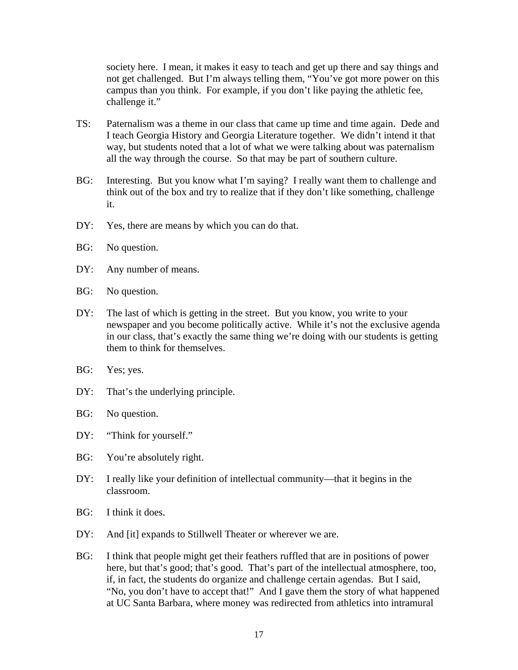society here. I mean, it makes it easy to teach and get up there and say things and not get challenged. But I'm always telling them, "You've got more power on this campus than you think. For example, if you don't like paying the athletic fee, challenge it."

- TS: Paternalism was a theme in our class that came up time and time again. Dede and I teach Georgia History and Georgia Literature together. We didn't intend it that way, but students noted that a lot of what we were talking about was paternalism all the way through the course. So that may be part of southern culture.
- BG: Interesting. But you know what I'm saying? I really want them to challenge and think out of the box and try to realize that if they don't like something, challenge it.
- DY: Yes, there are means by which you can do that.
- BG: No question.
- DY: Any number of means.
- BG: No question.
- DY: The last of which is getting in the street. But you know, you write to your newspaper and you become politically active. While it's not the exclusive agenda in our class, that's exactly the same thing we're doing with our students is getting them to think for themselves.
- BG: Yes; yes.
- DY: That's the underlying principle.
- BG: No question.
- DY: "Think for yourself."
- BG: You're absolutely right.
- DY: I really like your definition of intellectual community—that it begins in the classroom.
- BG: I think it does.
- DY: And [it] expands to Stillwell Theater or wherever we are.
- BG: I think that people might get their feathers ruffled that are in positions of power here, but that's good; that's good. That's part of the intellectual atmosphere, too, if, in fact, the students do organize and challenge certain agendas. But I said, "No, you don't have to accept that!" And I gave them the story of what happened at UC Santa Barbara, where money was redirected from athletics into intramural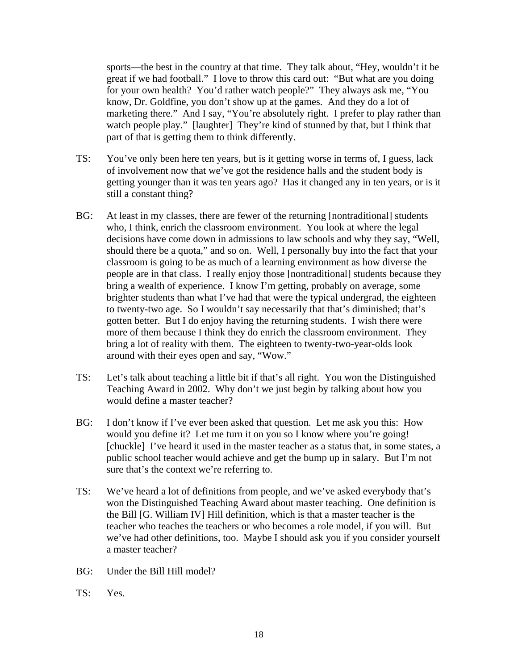sports—the best in the country at that time. They talk about, "Hey, wouldn't it be great if we had football." I love to throw this card out: "But what are you doing for your own health? You'd rather watch people?" They always ask me, "You know, Dr. Goldfine, you don't show up at the games. And they do a lot of marketing there." And I say, "You're absolutely right. I prefer to play rather than watch people play." [laughter] They're kind of stunned by that, but I think that part of that is getting them to think differently.

- TS: You've only been here ten years, but is it getting worse in terms of, I guess, lack of involvement now that we've got the residence halls and the student body is getting younger than it was ten years ago? Has it changed any in ten years, or is it still a constant thing?
- BG: At least in my classes, there are fewer of the returning [nontraditional] students who, I think, enrich the classroom environment. You look at where the legal decisions have come down in admissions to law schools and why they say, "Well, should there be a quota," and so on. Well, I personally buy into the fact that your classroom is going to be as much of a learning environment as how diverse the people are in that class. I really enjoy those [nontraditional] students because they bring a wealth of experience. I know I'm getting, probably on average, some brighter students than what I've had that were the typical undergrad, the eighteen to twenty-two age. So I wouldn't say necessarily that that's diminished; that's gotten better. But I do enjoy having the returning students. I wish there were more of them because I think they do enrich the classroom environment. They bring a lot of reality with them. The eighteen to twenty-two-year-olds look around with their eyes open and say, "Wow."
- TS: Let's talk about teaching a little bit if that's all right. You won the Distinguished Teaching Award in 2002. Why don't we just begin by talking about how you would define a master teacher?
- BG: I don't know if I've ever been asked that question. Let me ask you this: How would you define it? Let me turn it on you so I know where you're going! [chuckle] I've heard it used in the master teacher as a status that, in some states, a public school teacher would achieve and get the bump up in salary. But I'm not sure that's the context we're referring to.
- TS: We've heard a lot of definitions from people, and we've asked everybody that's won the Distinguished Teaching Award about master teaching. One definition is the Bill [G. William IV] Hill definition, which is that a master teacher is the teacher who teaches the teachers or who becomes a role model, if you will. But we've had other definitions, too. Maybe I should ask you if you consider yourself a master teacher?
- BG: Under the Bill Hill model?
- TS: Yes.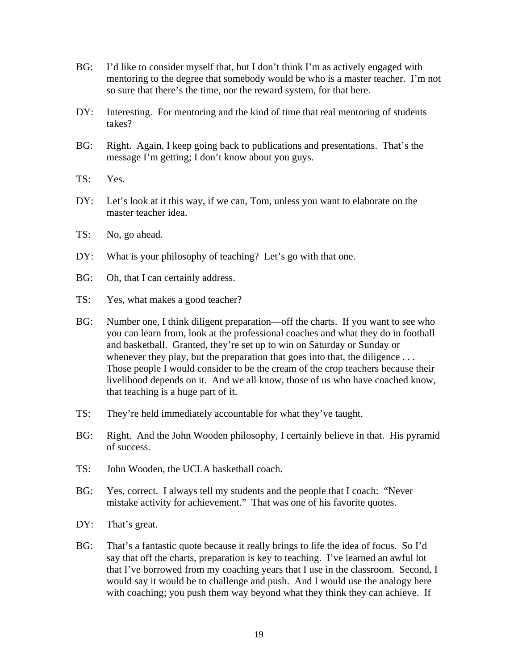- BG: I'd like to consider myself that, but I don't think I'm as actively engaged with mentoring to the degree that somebody would be who is a master teacher. I'm not so sure that there's the time, nor the reward system, for that here.
- DY: Interesting. For mentoring and the kind of time that real mentoring of students takes?
- BG: Right. Again, I keep going back to publications and presentations. That's the message I'm getting; I don't know about you guys.
- TS: Yes.
- DY: Let's look at it this way, if we can, Tom, unless you want to elaborate on the master teacher idea.
- TS: No, go ahead.
- DY: What is your philosophy of teaching? Let's go with that one.
- BG: Oh, that I can certainly address.
- TS: Yes, what makes a good teacher?
- BG: Number one, I think diligent preparation—off the charts. If you want to see who you can learn from, look at the professional coaches and what they do in football and basketball. Granted, they're set up to win on Saturday or Sunday or whenever they play, but the preparation that goes into that, the diligence  $\dots$ Those people I would consider to be the cream of the crop teachers because their livelihood depends on it. And we all know, those of us who have coached know, that teaching is a huge part of it.
- TS: They're held immediately accountable for what they've taught.
- BG: Right. And the John Wooden philosophy, I certainly believe in that. His pyramid of success.
- TS: John Wooden, the UCLA basketball coach.
- BG: Yes, correct. I always tell my students and the people that I coach: "Never mistake activity for achievement." That was one of his favorite quotes.
- DY: That's great.
- BG: That's a fantastic quote because it really brings to life the idea of focus. So I'd say that off the charts, preparation is key to teaching. I've learned an awful lot that I've borrowed from my coaching years that I use in the classroom. Second, I would say it would be to challenge and push. And I would use the analogy here with coaching; you push them way beyond what they think they can achieve. If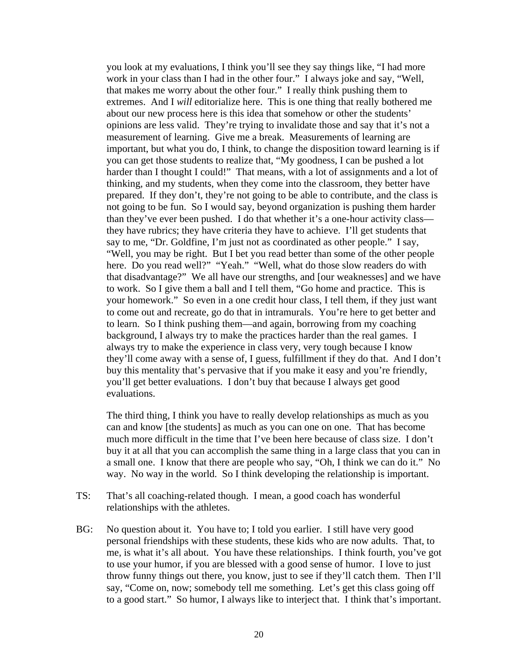you look at my evaluations, I think you'll see they say things like, "I had more work in your class than I had in the other four." I always joke and say, "Well, that makes me worry about the other four." I really think pushing them to extremes. And I *will* editorialize here. This is one thing that really bothered me about our new process here is this idea that somehow or other the students' opinions are less valid. They're trying to invalidate those and say that it's not a measurement of learning. Give me a break. Measurements of learning are important, but what you do, I think, to change the disposition toward learning is if you can get those students to realize that, "My goodness, I can be pushed a lot harder than I thought I could!" That means, with a lot of assignments and a lot of thinking, and my students, when they come into the classroom, they better have prepared. If they don't, they're not going to be able to contribute, and the class is not going to be fun. So I would say, beyond organization is pushing them harder than they've ever been pushed. I do that whether it's a one-hour activity class they have rubrics; they have criteria they have to achieve. I'll get students that say to me, "Dr. Goldfine, I'm just not as coordinated as other people." I say, "Well, you may be right. But I bet you read better than some of the other people here. Do you read well?" "Yeah." "Well, what do those slow readers do with that disadvantage?" We all have our strengths, and [our weaknesses] and we have to work. So I give them a ball and I tell them, "Go home and practice. This is your homework." So even in a one credit hour class, I tell them, if they just want to come out and recreate, go do that in intramurals. You're here to get better and to learn. So I think pushing them—and again, borrowing from my coaching background, I always try to make the practices harder than the real games. I always try to make the experience in class very, very tough because I know they'll come away with a sense of, I guess, fulfillment if they do that. And I don't buy this mentality that's pervasive that if you make it easy and you're friendly, you'll get better evaluations. I don't buy that because I always get good evaluations.

The third thing, I think you have to really develop relationships as much as you can and know [the students] as much as you can one on one. That has become much more difficult in the time that I've been here because of class size. I don't buy it at all that you can accomplish the same thing in a large class that you can in a small one. I know that there are people who say, "Oh, I think we can do it." No way. No way in the world. So I think developing the relationship is important.

- TS: That's all coaching-related though. I mean, a good coach has wonderful relationships with the athletes.
- BG: No question about it. You have to; I told you earlier. I still have very good personal friendships with these students, these kids who are now adults. That, to me, is what it's all about. You have these relationships. I think fourth, you've got to use your humor, if you are blessed with a good sense of humor. I love to just throw funny things out there, you know, just to see if they'll catch them. Then I'll say, "Come on, now; somebody tell me something. Let's get this class going off to a good start." So humor, I always like to interject that. I think that's important.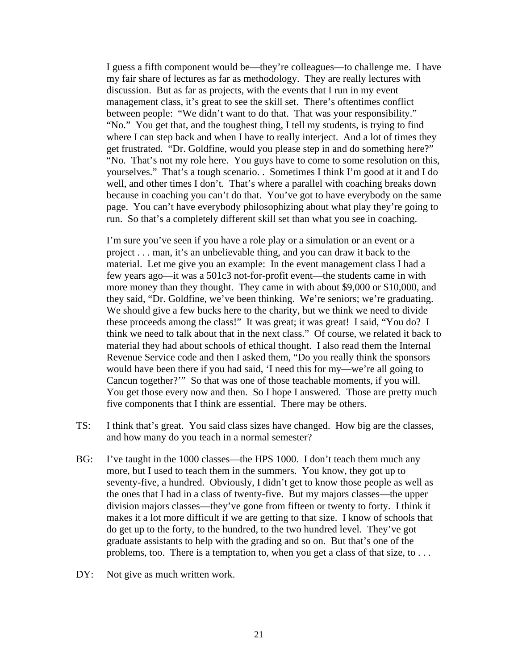I guess a fifth component would be—they're colleagues—to challenge me. I have my fair share of lectures as far as methodology. They are really lectures with discussion. But as far as projects, with the events that I run in my event management class, it's great to see the skill set. There's oftentimes conflict between people: "We didn't want to do that. That was your responsibility." "No." You get that, and the toughest thing, I tell my students, is trying to find where I can step back and when I have to really interject. And a lot of times they get frustrated. "Dr. Goldfine, would you please step in and do something here?" "No. That's not my role here. You guys have to come to some resolution on this, yourselves." That's a tough scenario. . Sometimes I think I'm good at it and I do well, and other times I don't. That's where a parallel with coaching breaks down because in coaching you can't do that. You've got to have everybody on the same page. You can't have everybody philosophizing about what play they're going to run. So that's a completely different skill set than what you see in coaching.

I'm sure you've seen if you have a role play or a simulation or an event or a project . . . man, it's an unbelievable thing, and you can draw it back to the material. Let me give you an example: In the event management class I had a few years ago—it was a 501c3 not-for-profit event—the students came in with more money than they thought. They came in with about \$9,000 or \$10,000, and they said, "Dr. Goldfine, we've been thinking. We're seniors; we're graduating. We should give a few bucks here to the charity, but we think we need to divide these proceeds among the class!" It was great; it was great! I said, "You do? I think we need to talk about that in the next class." Of course, we related it back to material they had about schools of ethical thought. I also read them the Internal Revenue Service code and then I asked them, "Do you really think the sponsors would have been there if you had said, 'I need this for my—we're all going to Cancun together?'" So that was one of those teachable moments, if you will. You get those every now and then. So I hope I answered. Those are pretty much five components that I think are essential. There may be others.

- TS: I think that's great. You said class sizes have changed. How big are the classes, and how many do you teach in a normal semester?
- BG: I've taught in the 1000 classes—the HPS 1000. I don't teach them much any more, but I used to teach them in the summers. You know, they got up to seventy-five, a hundred. Obviously, I didn't get to know those people as well as the ones that I had in a class of twenty-five. But my majors classes—the upper division majors classes—they've gone from fifteen or twenty to forty. I think it makes it a lot more difficult if we are getting to that size. I know of schools that do get up to the forty, to the hundred, to the two hundred level. They've got graduate assistants to help with the grading and so on. But that's one of the problems, too. There is a temptation to, when you get a class of that size, to . . .
- DY: Not give as much written work.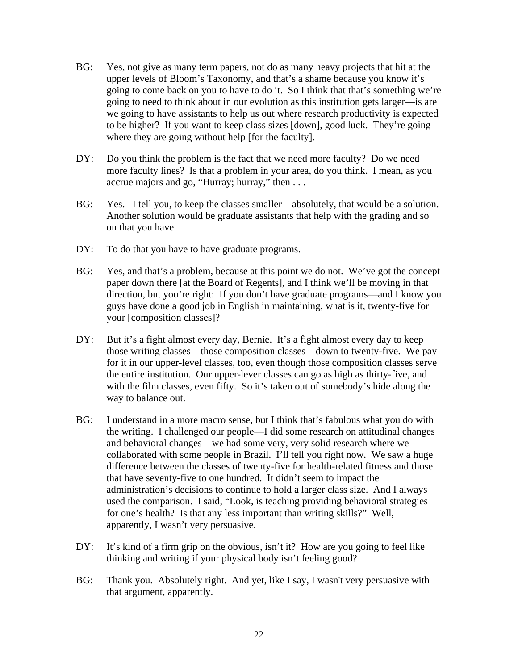- BG: Yes, not give as many term papers, not do as many heavy projects that hit at the upper levels of Bloom's Taxonomy, and that's a shame because you know it's going to come back on you to have to do it. So I think that that's something we're going to need to think about in our evolution as this institution gets larger—is are we going to have assistants to help us out where research productivity is expected to be higher? If you want to keep class sizes [down], good luck. They're going where they are going without help [for the faculty].
- DY: Do you think the problem is the fact that we need more faculty? Do we need more faculty lines? Is that a problem in your area, do you think. I mean, as you accrue majors and go, "Hurray; hurray," then . . .
- BG: Yes. I tell you, to keep the classes smaller—absolutely, that would be a solution. Another solution would be graduate assistants that help with the grading and so on that you have.
- DY: To do that you have to have graduate programs.
- BG: Yes, and that's a problem, because at this point we do not. We've got the concept paper down there [at the Board of Regents], and I think we'll be moving in that direction, but you're right: If you don't have graduate programs—and I know you guys have done a good job in English in maintaining, what is it, twenty-five for your [composition classes]?
- DY: But it's a fight almost every day, Bernie. It's a fight almost every day to keep those writing classes—those composition classes—down to twenty-five. We pay for it in our upper-level classes, too, even though those composition classes serve the entire institution. Our upper-lever classes can go as high as thirty-five, and with the film classes, even fifty. So it's taken out of somebody's hide along the way to balance out.
- BG: I understand in a more macro sense, but I think that's fabulous what you do with the writing. I challenged our people—I did some research on attitudinal changes and behavioral changes—we had some very, very solid research where we collaborated with some people in Brazil. I'll tell you right now. We saw a huge difference between the classes of twenty-five for health-related fitness and those that have seventy-five to one hundred. It didn't seem to impact the administration's decisions to continue to hold a larger class size. And I always used the comparison. I said, "Look, is teaching providing behavioral strategies for one's health? Is that any less important than writing skills?" Well, apparently, I wasn't very persuasive.
- DY: It's kind of a firm grip on the obvious, isn't it? How are you going to feel like thinking and writing if your physical body isn't feeling good?
- BG: Thank you. Absolutely right. And yet, like I say, I wasn't very persuasive with that argument, apparently.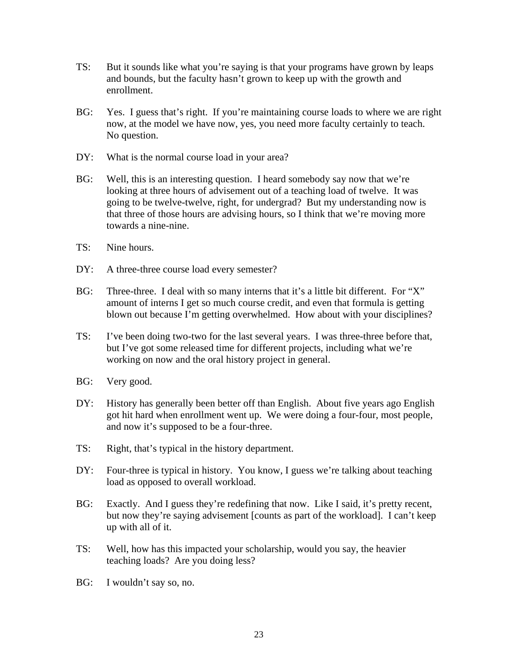- TS: But it sounds like what you're saying is that your programs have grown by leaps and bounds, but the faculty hasn't grown to keep up with the growth and enrollment.
- BG: Yes. I guess that's right. If you're maintaining course loads to where we are right now, at the model we have now, yes, you need more faculty certainly to teach. No question.
- DY: What is the normal course load in your area?
- BG: Well, this is an interesting question. I heard somebody say now that we're looking at three hours of advisement out of a teaching load of twelve. It was going to be twelve-twelve, right, for undergrad? But my understanding now is that three of those hours are advising hours, so I think that we're moving more towards a nine-nine.
- TS: Nine hours.
- DY: A three-three course load every semester?
- BG: Three-three. I deal with so many interns that it's a little bit different. For "X" amount of interns I get so much course credit, and even that formula is getting blown out because I'm getting overwhelmed. How about with your disciplines?
- TS: I've been doing two-two for the last several years. I was three-three before that, but I've got some released time for different projects, including what we're working on now and the oral history project in general.
- BG: Very good.
- DY: History has generally been better off than English. About five years ago English got hit hard when enrollment went up. We were doing a four-four, most people, and now it's supposed to be a four-three.
- TS: Right, that's typical in the history department.
- DY: Four-three is typical in history. You know, I guess we're talking about teaching load as opposed to overall workload.
- BG: Exactly. And I guess they're redefining that now. Like I said, it's pretty recent, but now they're saying advisement [counts as part of the workload]. I can't keep up with all of it.
- TS: Well, how has this impacted your scholarship, would you say, the heavier teaching loads? Are you doing less?
- BG: I wouldn't say so, no.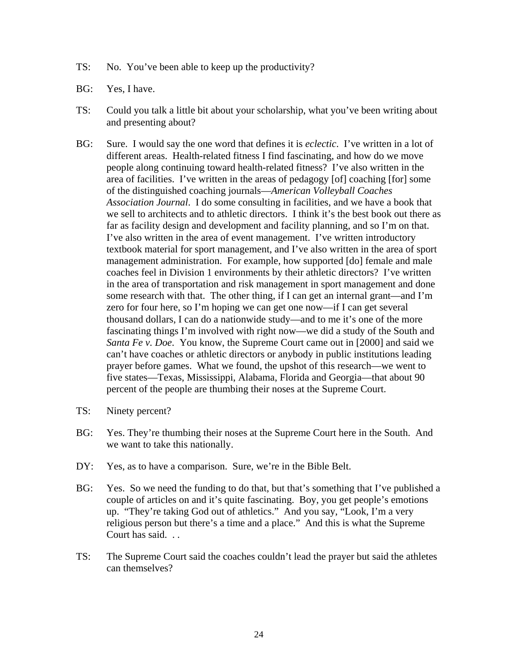- TS: No. You've been able to keep up the productivity?
- BG: Yes, I have.
- TS: Could you talk a little bit about your scholarship, what you've been writing about and presenting about?
- BG: Sure. I would say the one word that defines it is *eclectic*. I've written in a lot of different areas. Health-related fitness I find fascinating, and how do we move people along continuing toward health-related fitness? I've also written in the area of facilities. I've written in the areas of pedagogy [of] coaching [for] some of the distinguished coaching journals—*American Volleyball Coaches Association Journal*. I do some consulting in facilities, and we have a book that we sell to architects and to athletic directors. I think it's the best book out there as far as facility design and development and facility planning, and so I'm on that. I've also written in the area of event management. I've written introductory textbook material for sport management, and I've also written in the area of sport management administration. For example, how supported [do] female and male coaches feel in Division 1 environments by their athletic directors? I've written in the area of transportation and risk management in sport management and done some research with that. The other thing, if I can get an internal grant—and I'm zero for four here, so I'm hoping we can get one now—if I can get several thousand dollars, I can do a nationwide study—and to me it's one of the more fascinating things I'm involved with right now—we did a study of the South and *Santa Fe v. Doe*. You know, the Supreme Court came out in [2000] and said we can't have coaches or athletic directors or anybody in public institutions leading prayer before games. What we found, the upshot of this research—we went to five states—Texas, Mississippi, Alabama, Florida and Georgia—that about 90 percent of the people are thumbing their noses at the Supreme Court.
- TS: Ninety percent?
- BG: Yes. They're thumbing their noses at the Supreme Court here in the South. And we want to take this nationally.
- DY: Yes, as to have a comparison. Sure, we're in the Bible Belt.
- BG: Yes. So we need the funding to do that, but that's something that I've published a couple of articles on and it's quite fascinating. Boy, you get people's emotions up. "They're taking God out of athletics." And you say, "Look, I'm a very religious person but there's a time and a place." And this is what the Supreme Court has said. . .
- TS: The Supreme Court said the coaches couldn't lead the prayer but said the athletes can themselves?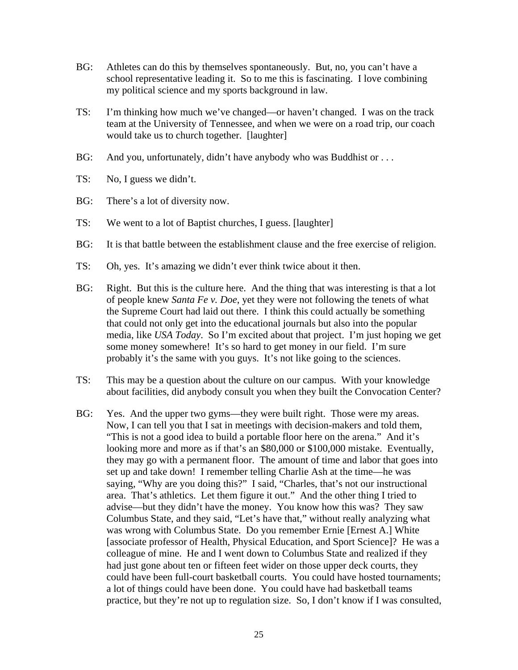- BG: Athletes can do this by themselves spontaneously. But, no, you can't have a school representative leading it. So to me this is fascinating. I love combining my political science and my sports background in law.
- TS: I'm thinking how much we've changed—or haven't changed. I was on the track team at the University of Tennessee, and when we were on a road trip, our coach would take us to church together. [laughter]
- BG: And you, unfortunately, didn't have anybody who was Buddhist or ...
- TS: No, I guess we didn't.
- BG: There's a lot of diversity now.
- TS: We went to a lot of Baptist churches, I guess. [laughter]
- BG: It is that battle between the establishment clause and the free exercise of religion.
- TS: Oh, yes. It's amazing we didn't ever think twice about it then.
- BG: Right. But this is the culture here. And the thing that was interesting is that a lot of people knew *Santa Fe v. Doe*, yet they were not following the tenets of what the Supreme Court had laid out there. I think this could actually be something that could not only get into the educational journals but also into the popular media, like *USA Today*. So I'm excited about that project. I'm just hoping we get some money somewhere! It's so hard to get money in our field. I'm sure probably it's the same with you guys. It's not like going to the sciences.
- TS: This may be a question about the culture on our campus. With your knowledge about facilities, did anybody consult you when they built the Convocation Center?
- BG: Yes. And the upper two gyms—they were built right. Those were my areas. Now, I can tell you that I sat in meetings with decision-makers and told them, "This is not a good idea to build a portable floor here on the arena." And it's looking more and more as if that's an \$80,000 or \$100,000 mistake. Eventually, they may go with a permanent floor. The amount of time and labor that goes into set up and take down! I remember telling Charlie Ash at the time—he was saying, "Why are you doing this?" I said, "Charles, that's not our instructional area. That's athletics. Let them figure it out." And the other thing I tried to advise—but they didn't have the money. You know how this was? They saw Columbus State, and they said, "Let's have that," without really analyzing what was wrong with Columbus State. Do you remember Ernie [Ernest A.] White [associate professor of Health, Physical Education, and Sport Science]? He was a colleague of mine. He and I went down to Columbus State and realized if they had just gone about ten or fifteen feet wider on those upper deck courts, they could have been full-court basketball courts. You could have hosted tournaments; a lot of things could have been done. You could have had basketball teams practice, but they're not up to regulation size. So, I don't know if I was consulted,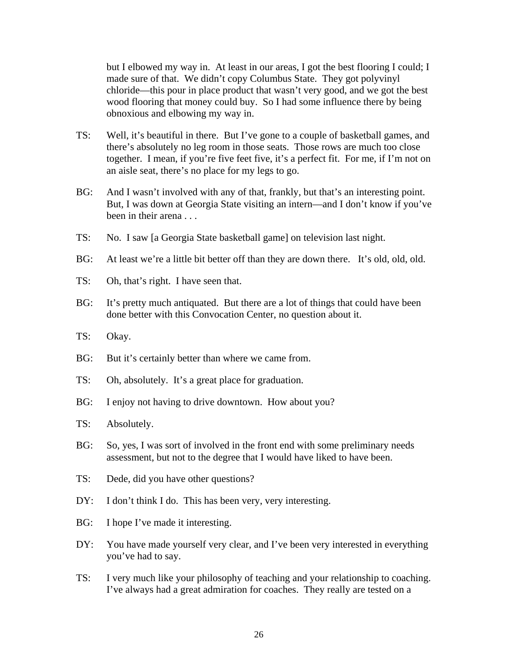but I elbowed my way in. At least in our areas, I got the best flooring I could; I made sure of that. We didn't copy Columbus State. They got polyvinyl chloride—this pour in place product that wasn't very good, and we got the best wood flooring that money could buy. So I had some influence there by being obnoxious and elbowing my way in.

- TS: Well, it's beautiful in there. But I've gone to a couple of basketball games, and there's absolutely no leg room in those seats. Those rows are much too close together. I mean, if you're five feet five, it's a perfect fit. For me, if I'm not on an aisle seat, there's no place for my legs to go.
- BG: And I wasn't involved with any of that, frankly, but that's an interesting point. But, I was down at Georgia State visiting an intern—and I don't know if you've been in their arena . . .
- TS: No. I saw [a Georgia State basketball game] on television last night.
- BG: At least we're a little bit better off than they are down there. It's old, old, old.
- TS: Oh, that's right. I have seen that.
- BG: It's pretty much antiquated. But there are a lot of things that could have been done better with this Convocation Center, no question about it.
- TS: Okay.
- BG: But it's certainly better than where we came from.
- TS: Oh, absolutely. It's a great place for graduation.
- BG: I enjoy not having to drive downtown. How about you?
- TS: Absolutely.
- BG: So, yes, I was sort of involved in the front end with some preliminary needs assessment, but not to the degree that I would have liked to have been.
- TS: Dede, did you have other questions?
- DY: I don't think I do. This has been very, very interesting.
- BG: I hope I've made it interesting.
- DY: You have made yourself very clear, and I've been very interested in everything you've had to say.
- TS: I very much like your philosophy of teaching and your relationship to coaching. I've always had a great admiration for coaches. They really are tested on a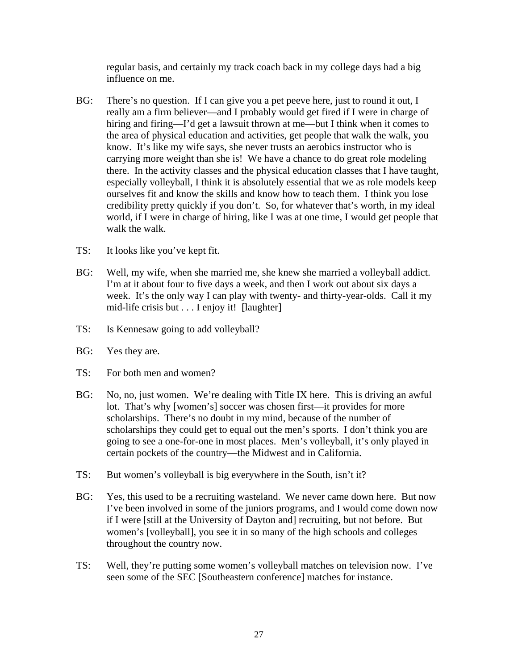regular basis, and certainly my track coach back in my college days had a big influence on me.

- BG: There's no question. If I can give you a pet peeve here, just to round it out, I really am a firm believer—and I probably would get fired if I were in charge of hiring and firing—I'd get a lawsuit thrown at me—but I think when it comes to the area of physical education and activities, get people that walk the walk, you know. It's like my wife says, she never trusts an aerobics instructor who is carrying more weight than she is! We have a chance to do great role modeling there. In the activity classes and the physical education classes that I have taught, especially volleyball, I think it is absolutely essential that we as role models keep ourselves fit and know the skills and know how to teach them. I think you lose credibility pretty quickly if you don't. So, for whatever that's worth, in my ideal world, if I were in charge of hiring, like I was at one time, I would get people that walk the walk.
- TS: It looks like you've kept fit.
- BG: Well, my wife, when she married me, she knew she married a volleyball addict. I'm at it about four to five days a week, and then I work out about six days a week. It's the only way I can play with twenty- and thirty-year-olds. Call it my mid-life crisis but . . . I enjoy it! [laughter]
- TS: Is Kennesaw going to add volleyball?
- BG: Yes they are.
- TS: For both men and women?
- BG: No, no, just women. We're dealing with Title IX here. This is driving an awful lot. That's why [women's] soccer was chosen first—it provides for more scholarships. There's no doubt in my mind, because of the number of scholarships they could get to equal out the men's sports. I don't think you are going to see a one-for-one in most places. Men's volleyball, it's only played in certain pockets of the country—the Midwest and in California.
- TS: But women's volleyball is big everywhere in the South, isn't it?
- BG: Yes, this used to be a recruiting wasteland. We never came down here. But now I've been involved in some of the juniors programs, and I would come down now if I were [still at the University of Dayton and] recruiting, but not before. But women's [volleyball], you see it in so many of the high schools and colleges throughout the country now.
- TS: Well, they're putting some women's volleyball matches on television now. I've seen some of the SEC [Southeastern conference] matches for instance.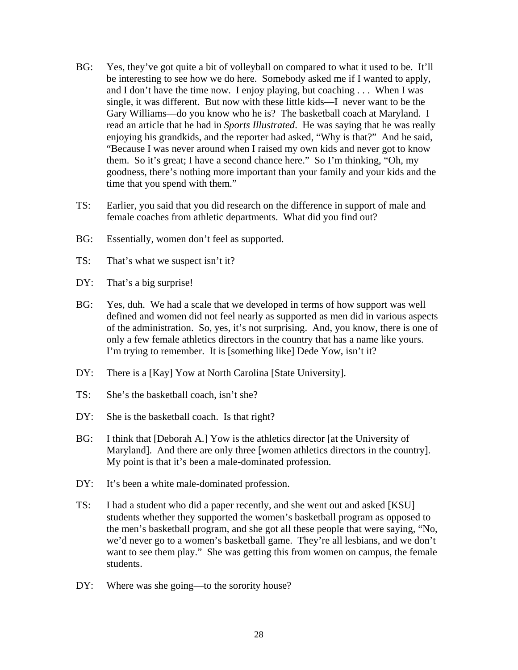- BG: Yes, they've got quite a bit of volleyball on compared to what it used to be. It'll be interesting to see how we do here. Somebody asked me if I wanted to apply, and I don't have the time now. I enjoy playing, but coaching . . . When I was single, it was different. But now with these little kids—I never want to be the Gary Williams—do you know who he is? The basketball coach at Maryland. I read an article that he had in *Sports Illustrated*. He was saying that he was really enjoying his grandkids, and the reporter had asked, "Why is that?" And he said, "Because I was never around when I raised my own kids and never got to know them. So it's great; I have a second chance here." So I'm thinking, "Oh, my goodness, there's nothing more important than your family and your kids and the time that you spend with them."
- TS: Earlier, you said that you did research on the difference in support of male and female coaches from athletic departments. What did you find out?
- BG: Essentially, women don't feel as supported.
- TS: That's what we suspect isn't it?
- DY: That's a big surprise!
- BG: Yes, duh. We had a scale that we developed in terms of how support was well defined and women did not feel nearly as supported as men did in various aspects of the administration. So, yes, it's not surprising. And, you know, there is one of only a few female athletics directors in the country that has a name like yours. I'm trying to remember. It is [something like] Dede Yow, isn't it?
- DY: There is a [Kay] Yow at North Carolina [State University].
- TS: She's the basketball coach, isn't she?
- DY: She is the basketball coach. Is that right?
- BG: I think that [Deborah A.] Yow is the athletics director [at the University of Maryland]. And there are only three [women athletics directors in the country]. My point is that it's been a male-dominated profession.
- DY: It's been a white male-dominated profession.
- TS: I had a student who did a paper recently, and she went out and asked [KSU] students whether they supported the women's basketball program as opposed to the men's basketball program, and she got all these people that were saying, "No, we'd never go to a women's basketball game. They're all lesbians, and we don't want to see them play." She was getting this from women on campus, the female students.
- DY: Where was she going—to the sorority house?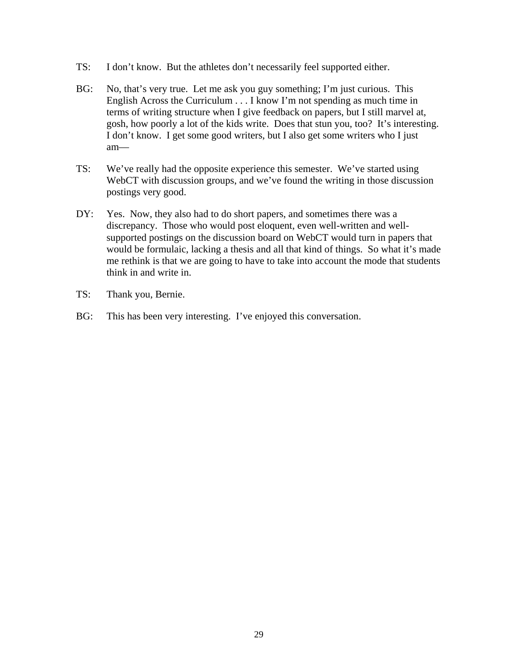- TS: I don't know. But the athletes don't necessarily feel supported either.
- BG: No, that's very true. Let me ask you guy something; I'm just curious. This English Across the Curriculum . . . I know I'm not spending as much time in terms of writing structure when I give feedback on papers, but I still marvel at, gosh, how poorly a lot of the kids write. Does that stun you, too? It's interesting. I don't know. I get some good writers, but I also get some writers who I just am—
- TS: We've really had the opposite experience this semester. We've started using WebCT with discussion groups, and we've found the writing in those discussion postings very good.
- DY: Yes. Now, they also had to do short papers, and sometimes there was a discrepancy. Those who would post eloquent, even well-written and wellsupported postings on the discussion board on WebCT would turn in papers that would be formulaic, lacking a thesis and all that kind of things. So what it's made me rethink is that we are going to have to take into account the mode that students think in and write in.
- TS: Thank you, Bernie.
- BG: This has been very interesting. I've enjoyed this conversation.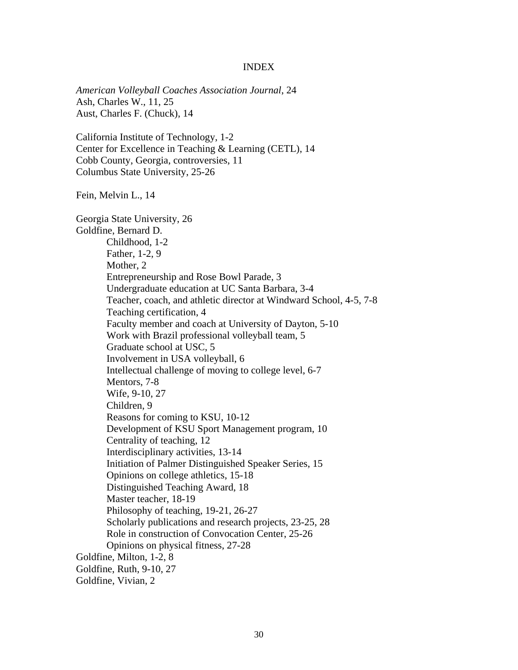## INDEX

*American Volleyball Coaches Association Journal*, 24 Ash, Charles W., 11, 25 Aust, Charles F. (Chuck), 14

California Institute of Technology, 1-2 Center for Excellence in Teaching & Learning (CETL), 14 Cobb County, Georgia, controversies, 11 Columbus State University, 25-26

Fein, Melvin L., 14

Georgia State University, 26 Goldfine, Bernard D. Childhood, 1-2 Father, 1-2, 9 Mother, 2 Entrepreneurship and Rose Bowl Parade, 3 Undergraduate education at UC Santa Barbara, 3-4 Teacher, coach, and athletic director at Windward School, 4-5, 7-8 Teaching certification, 4 Faculty member and coach at University of Dayton, 5-10 Work with Brazil professional volleyball team, 5 Graduate school at USC, 5 Involvement in USA volleyball, 6 Intellectual challenge of moving to college level, 6-7 Mentors, 7-8 Wife, 9-10, 27 Children, 9 Reasons for coming to KSU, 10-12 Development of KSU Sport Management program, 10 Centrality of teaching, 12 Interdisciplinary activities, 13-14 Initiation of Palmer Distinguished Speaker Series, 15 Opinions on college athletics, 15-18 Distinguished Teaching Award, 18 Master teacher, 18-19 Philosophy of teaching, 19-21, 26-27 Scholarly publications and research projects, 23-25, 28 Role in construction of Convocation Center, 25-26 Opinions on physical fitness, 27-28 Goldfine, Milton, 1-2, 8 Goldfine, Ruth, 9-10, 27 Goldfine, Vivian, 2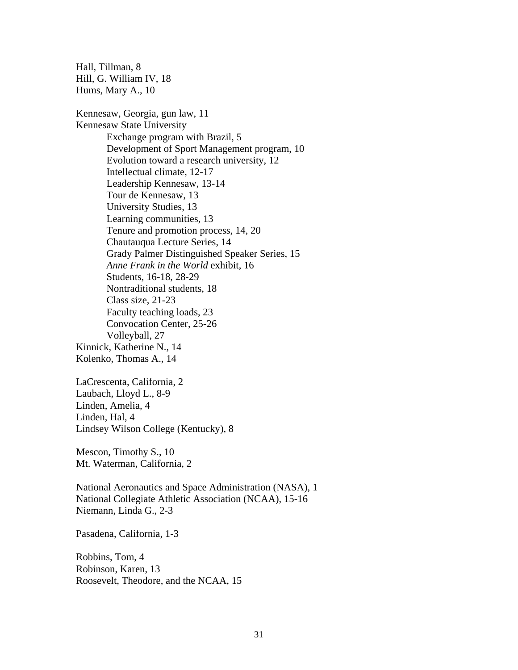Hall, Tillman, 8 Hill, G. William IV, 18 Hums, Mary A., 10

Kennesaw, Georgia, gun law, 11 Kennesaw State University Exchange program with Brazil, 5 Development of Sport Management program, 10 Evolution toward a research university, 12 Intellectual climate, 12-17 Leadership Kennesaw, 13-14 Tour de Kennesaw, 13 University Studies, 13 Learning communities, 13 Tenure and promotion process, 14, 20 Chautauqua Lecture Series, 14 Grady Palmer Distinguished Speaker Series, 15 *Anne Frank in the World* exhibit, 16 Students, 16-18, 28-29 Nontraditional students, 18 Class size, 21-23 Faculty teaching loads, 23 Convocation Center, 25-26 Volleyball, 27 Kinnick, Katherine N., 14 Kolenko, Thomas A., 14

LaCrescenta, California, 2 Laubach, Lloyd L., 8-9 Linden, Amelia, 4 Linden, Hal, 4 Lindsey Wilson College (Kentucky), 8

Mescon, Timothy S., 10 Mt. Waterman, California, 2

National Aeronautics and Space Administration (NASA), 1 National Collegiate Athletic Association (NCAA), 15-16 Niemann, Linda G., 2-3

Pasadena, California, 1-3

Robbins, Tom, 4 Robinson, Karen, 13 Roosevelt, Theodore, and the NCAA, 15